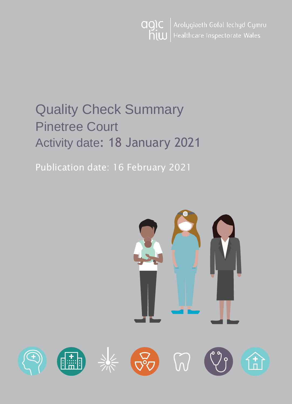

# Quality Check Summary Pinetree Court Activity date: 18 January 2021

Publication date: 16 February 2021

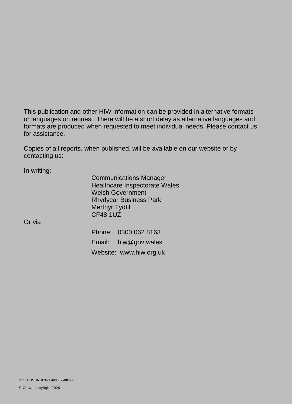This publication and other HIW information can be provided in alternative formats or languages on request. There will be a short delay as alternative languages and formats are produced when requested to meet individual needs. Please contact us for assistance.

Copies of all reports, when published, will be available on our website or by contacting us:

In writing:

Communications Manager Healthcare Inspectorate Wales Welsh Government Rhydycar Business Park Merthyr Tydfil CF48 1UZ

Or via

Phone: 0300 062 8163 Email: [hiw@gov.wales](mailto:hiw@gov.wales) Website: [www.hiw.org.uk](http://www.hiw.org.uk/)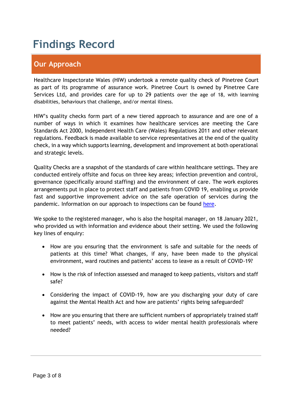# **Findings Record**

# **Our Approach**

Healthcare Inspectorate Wales (HIW) undertook a remote quality check of Pinetree Court as part of its programme of assurance work. Pinetree Court is owned by Pinetree Care Services Ltd, and provides care for up to 29 patients over the age of 18, with learning disabilities, behaviours that challenge, and/or mental illness.

HIW's quality checks form part of a new tiered approach to assurance and are one of a number of ways in which it examines how healthcare services are meeting the Care Standards Act 2000, Independent Health Care (Wales) Regulations 2011 and other relevant regulations. Feedback is made available to service representatives at the end of the quality check, in a way which supports learning, development and improvement at both operational and strategic levels.

Quality Checks are a snapshot of the standards of care within healthcare settings. They are conducted entirely offsite and focus on three key areas; infection prevention and control, governance (specifically around staffing) and the environment of care. The work explores arrangements put in place to protect staff and patients from COVID 19, enabling us provide fast and supportive improvement advice on the safe operation of services during the pandemic. Information on our approach to inspections can be found [here.](https://hiw.org.uk/covid-19-response-and-our-approach-assurance-and-inspection)

We spoke to the registered manager, who is also the hospital manager, on 18 January 2021, who provided us with information and evidence about their setting. We used the following key lines of enquiry:

- How are you ensuring that the environment is safe and suitable for the needs of patients at this time? What changes, if any, have been made to the physical environment, ward routines and patients' access to leave as a result of COVID-19?
- How is the risk of infection assessed and managed to keep patients, visitors and staff safe?
- Considering the impact of COVID-19, how are you discharging your duty of care against the Mental Health Act and how are patients' rights being safeguarded?
- How are you ensuring that there are sufficient numbers of appropriately trained staff to meet patients' needs, with access to wider mental health professionals where needed?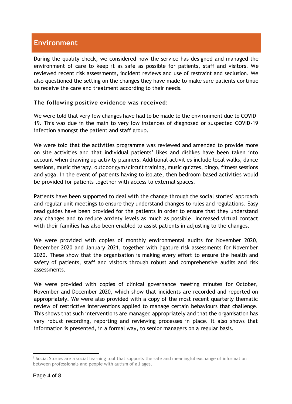## **Environment**

During the quality check, we considered how the service has designed and managed the environment of care to keep it as safe as possible for patients, staff and visitors. We reviewed recent risk assessments, incident reviews and use of restraint and seclusion. We also questioned the setting on the changes they have made to make sure patients continue to receive the care and treatment according to their needs.

#### **The following positive evidence was received:**

We were told that very few changes have had to be made to the environment due to COVID-19. This was due in the main to very low instances of diagnosed or suspected COVID-19 infection amongst the patient and staff group.

We were told that the activities programme was reviewed and amended to provide more on site activities and that individual patients' likes and dislikes have been taken into account when drawing up activity planners. Additional activities include local walks, dance sessions, music therapy, outdoor gym/circuit training, music quizzes, bingo, fitness sessions and yoga. In the event of patients having to isolate, then bedroom based activities would be provided for patients together with access to external spaces.

Patients have been supported to deal with the change through the social stories<sup>1</sup> approach and regular unit meetings to ensure they understand changes to rules and regulations. Easy read guides have been provided for the patients in order to ensure that they understand any changes and to reduce anxiety levels as much as possible. Increased virtual contact with their families has also been enabled to assist patients in adjusting to the changes.

We were provided with copies of monthly environmental audits for November 2020, December 2020 and January 2021, together with ligature risk assessments for November 2020. These show that the organisation is making every effort to ensure the health and safety of patients, staff and visitors through robust and comprehensive audits and risk assessments.

We were provided with copies of clinical governance meeting minutes for October, November and December 2020, which show that incidents are recorded and reported on appropriately. We were also provided with a copy of the most recent quarterly thematic review of restrictive interventions applied to manage certain behaviours that challenge. This shows that such interventions are managed appropriately and that the organisation has very robust recording, reporting and reviewing processes in place. It also shows that information is presented, in a formal way, to senior managers on a regular basis.

<sup>1</sup> Social Stories are a social learning tool that supports the safe and meaningful exchange of information between professionals and people with autism of all ages.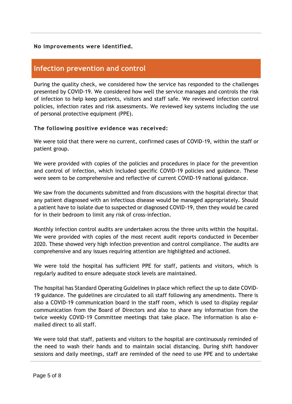#### **No improvements were identified.**

### **Infection prevention and control**

During the quality check, we considered how the service has responded to the challenges presented by COVID-19. We considered how well the service manages and controls the risk of infection to help keep patients, visitors and staff safe. We reviewed infection control policies, infection rates and risk assessments. We reviewed key systems including the use of personal protective equipment (PPE).

#### **The following positive evidence was received:**

We were told that there were no current, confirmed cases of COVID-19, within the staff or patient group.

We were provided with copies of the policies and procedures in place for the prevention and control of infection, which included specific COVID-19 policies and guidance. These were seem to be comprehensive and reflective of current COVID-19 national guidance.

We saw from the documents submitted and from discussions with the hospital director that any patient diagnosed with an infectious disease would be managed appropriately. Should a patient have to isolate due to suspected or diagnosed COVID-19, then they would be cared for in their bedroom to limit any risk of cross-infection.

Monthly infection control audits are undertaken across the three units within the hospital. We were provided with copies of the most recent audit reports conducted in December 2020. These showed very high infection prevention and control compliance. The audits are comprehensive and any issues requiring attention are highlighted and actioned.

We were told the hospital has sufficient PPE for staff, patients and visitors, which is regularly audited to ensure adequate stock levels are maintained.

The hospital has Standard Operating Guidelines in place which reflect the up to date COVID-19 guidance. The guidelines are circulated to all staff following any amendments. There is also a COVID-19 communication board in the staff room, which is used to display regular communication from the Board of Directors and also to share any information from the twice weekly COVID-19 Committee meetings that take place. The information is also emailed direct to all staff.

We were told that staff, patients and visitors to the hospital are continuously reminded of the need to wash their hands and to maintain social distancing. During shift handover sessions and daily meetings, staff are reminded of the need to use PPE and to undertake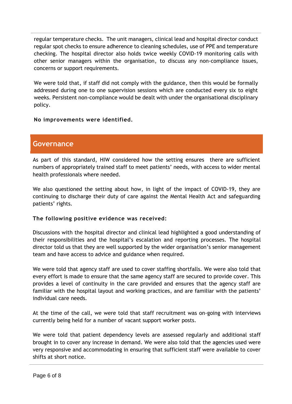regular temperature checks. The unit managers, clinical lead and hospital director conduct regular spot checks to ensure adherence to cleaning schedules, use of PPE and temperature checking. The hospital director also holds twice weekly COVID-19 monitoring calls with other senior managers within the organisation, to discuss any non-compliance issues, concerns or support requirements.

We were told that, if staff did not comply with the guidance, then this would be formally addressed during one to one supervision sessions which are conducted every six to eight weeks. Persistent non-compliance would be dealt with under the organisational disciplinary policy.

**No improvements were identified.**

#### **Governance**

As part of this standard, HIW considered how the setting ensures there are sufficient numbers of appropriately trained staff to meet patients' needs, with access to wider mental health professionals where needed.

We also questioned the setting about how, in light of the impact of COVID-19, they are continuing to discharge their duty of care against the Mental Health Act and safeguarding patients' rights.

#### **The following positive evidence was received:**

Discussions with the hospital director and clinical lead highlighted a good understanding of their responsibilities and the hospital's escalation and reporting processes. The hospital director told us that they are well supported by the wider organisation's senior management team and have access to advice and guidance when required.

We were told that agency staff are used to cover staffing shortfalls. We were also told that every effort is made to ensure that the same agency staff are secured to provide cover. This provides a level of continuity in the care provided and ensures that the agency staff are familiar with the hospital layout and working practices, and are familiar with the patients' individual care needs.

At the time of the call, we were told that staff recruitment was on-going with interviews currently being held for a number of vacant support worker posts.

We were told that patient dependency levels are assessed regularly and additional staff brought in to cover any increase in demand. We were also told that the agencies used were very responsive and accommodating in ensuring that sufficient staff were available to cover shifts at short notice.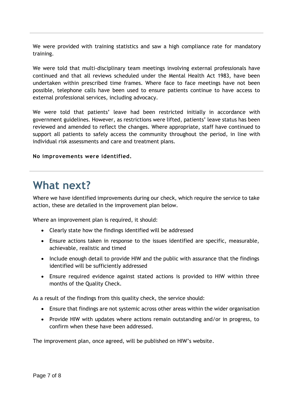We were provided with training statistics and saw a high compliance rate for mandatory training.

We were told that multi-disciplinary team meetings involving external professionals have continued and that all reviews scheduled under the Mental Health Act 1983, have been undertaken within prescribed time frames. Where face to face meetings have not been possible, telephone calls have been used to ensure patients continue to have access to external professional services, including advocacy.

We were told that patients' leave had been restricted initially in accordance with government guidelines. However, as restrictions were lifted, patients' leave status has been reviewed and amended to reflect the changes. Where appropriate, staff have continued to support all patients to safely access the community throughout the period, in line with individual risk assessments and care and treatment plans.

#### **No improvements were identified.**

# **What next?**

Where we have identified improvements during our check, which require the service to take action, these are detailed in the improvement plan below.

Where an improvement plan is required, it should:

- Clearly state how the findings identified will be addressed
- Ensure actions taken in response to the issues identified are specific, measurable, achievable, realistic and timed
- Include enough detail to provide HIW and the public with assurance that the findings identified will be sufficiently addressed
- Ensure required evidence against stated actions is provided to HIW within three months of the Quality Check.

As a result of the findings from this quality check, the service should:

- Ensure that findings are not systemic across other areas within the wider organisation
- Provide HIW with updates where actions remain outstanding and/or in progress, to confirm when these have been addressed.

The improvement plan, once agreed, will be published on HIW's website.